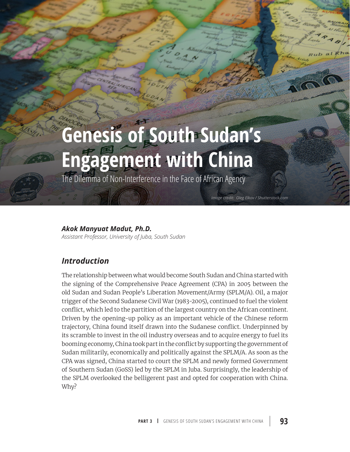# **Genesis of South Sudan's Engagement with China**

The Dilemma of Non-Interference in the Face of African Agency

#### *Akok Manyuat Madut, Ph.D.*

*Assistant Professor, University of Juba, South Sudan* 

# *Introduction*

The relationship between what would become South Sudan and China started with the signing of the Comprehensive Peace Agreement (CPA) in 2005 between the old Sudan and Sudan People's Liberation Movement/Army (SPLM/A). Oil, a major trigger of the Second Sudanese Civil War (1983-2005), continued to fuel the violent conflict, which led to the partition of the largest country on the African continent. Driven by the opening-up policy as an important vehicle of the Chinese reform trajectory, China found itself drawn into the Sudanese conflict. Underpinned by its scramble to invest in the oil industry overseas and to acquire energy to fuel its booming economy, China took part in the conflict by supporting the government of Sudan militarily, economically and politically against the SPLM/A. As soon as the CPA was signed, China started to court the SPLM and newly formed Government of Southern Sudan (GoSS) led by the SPLM in Juba. Surprisingly, the leadership of the SPLM overlooked the belligerent past and opted for cooperation with China. Why?

*Image credit: Oleg Elkov / Shutterstock.com*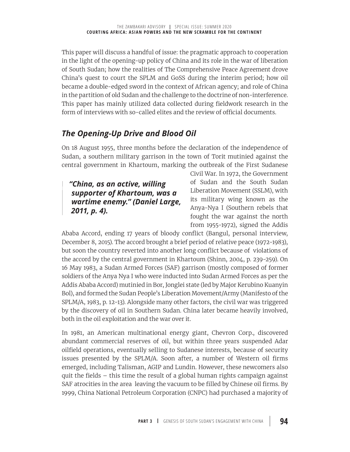This paper will discuss a handful of issue: the pragmatic approach to cooperation in the light of the opening-up policy of China and its role in the war of liberation of South Sudan; how the realities of The Comprehensive Peace Agreement drove China's quest to court the SPLM and GoSS during the interim period; how oil became a double-edged sword in the context of African agency; and role of China in the partition of old Sudan and the challenge to the doctrine of non-interference. This paper has mainly utilized data collected during fieldwork research in the form of interviews with so-called elites and the review of official documents.

## *The Opening-Up Drive and Blood Oil*

On 18 August 1955, three months before the declaration of the independence of Sudan, a southern military garrison in the town of Torit mutinied against the central government in Khartoum, marking the outbreak of the First Sudanese

*"China, as an active, willing supporter of Khartoum, was a wartime enemy." (Daniel Large, 2011, p. 4).*

Civil War. In 1972, the Government of Sudan and the South Sudan Liberation Movement (SSLM), with its military wing known as the Anya-Nya I (Southern rebels that fought the war against the north from 1955-1972), signed the Addis

Ababa Accord, ending 17 years of bloody conflict (Bangul, personal interview, December 8, 2015). The accord brought a brief period of relative peace (1972-1983), but soon the country reverted into another long conflict because of violations of the accord by the central government in Khartoum (Shinn, 2004, p. 239-259). On 16 May 1983, a Sudan Armed Forces (SAF) garrison (mostly composed of former soldiers of the Anya Nya I who were inducted into Sudan Armed Forces as per the Addis Ababa Accord) mutinied in Bor, Jonglei state (led by Major Kerubino Kuanyin Bol), and formed the Sudan People's Liberation Movement/Army (Manifesto of the SPLM/A, 1983, p. 12-13). Alongside many other factors, the civil war was triggered by the discovery of oil in Southern Sudan. China later became heavily involved, both in the oil exploitation and the war over it.

In 1981, an American multinational energy giant, Chevron Corp., discovered abundant commercial reserves of oil, but within three years suspended Adar oilfield operations, eventually selling to Sudanese interests, because of security issues presented by the SPLM/A. Soon after, a number of Western oil firms emerged, including Talisman, AGIP and Lundin. However, these newcomers also quit the fields – this time the result of a global human rights campaign against SAF atrocities in the area leaving the vacuum to be filled by Chinese oil firms. By 1999, China National Petroleum Corporation (CNPC) had purchased a majority of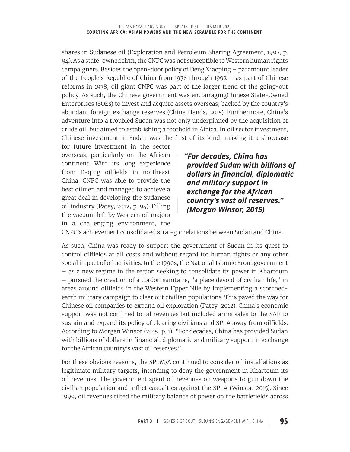shares in Sudanese oil (Exploration and Petroleum Sharing Agreement, 1997, p. 94). As a state-owned firm, the CNPC was not susceptible to Western human rights campaigners. Besides the open-door policy of Deng Xiaoping – paramount leader of the People's Republic of China from 1978 through 1992 – as part of Chinese reforms in 1978, oil giant CNPC was part of the larger trend of the going-out policy. As such, the Chinese government was encouragingChinese State-Owned Enterprises (SOEs) to invest and acquire assets overseas, backed by the country's abundant foreign exchange reserves (China Hands, 2015). Furthermore, China's adventure into a troubled Sudan was not only underpinned by the acquisition of crude oil, but aimed to establishing a foothold in Africa. In oil sector investment, Chinese investment in Sudan was the first of its kind, making it a showcase

for future investment in the sector overseas, particularly on the African continent. With its long experience from Daqing oilfields in northeast China, CNPC was able to provide the best oilmen and managed to achieve a great deal in developing the Sudanese oil industry (Patey, 2012, p. 94). Filling the vacuum left by Western oil majors in a challenging environment, the

*"For decades, China has provided Sudan with billions of dollars in financial, diplomatic and military support in exchange for the African country's vast oil reserves." (Morgan Winsor, 2015)*

CNPC's achievement consolidated strategic relations between Sudan and China.

As such, China was ready to support the government of Sudan in its quest to control oilfields at all costs and without regard for human rights or any other social impact of oil activities. In the 1990s, the National Islamic Front government – as a new regime in the region seeking to consolidate its power in Khartoum – pursued the creation of a cordon sanitaire, "a place devoid of civilian life," in areas around oilfields in the Western Upper Nile by implementing a scorchedearth military campaign to clear out civilian populations. This paved the way for Chinese oil companies to expand oil exploration (Patey, 2012). China's economic support was not confined to oil revenues but included arms sales to the SAF to sustain and expand its policy of clearing civilians and SPLA away from oilfields. According to Morgan Winsor (2015, p. 1), "For decades, China has provided Sudan with billions of dollars in financial, diplomatic and military support in exchange for the African country's vast oil reserves."

For these obvious reasons, the SPLM/A continued to consider oil installations as legitimate military targets, intending to deny the government in Khartoum its oil revenues. The government spent oil revenues on weapons to gun down the civilian population and inflict casualties against the SPLA (Winsor, 2015). Since 1999, oil revenues tilted the military balance of power on the battlefields across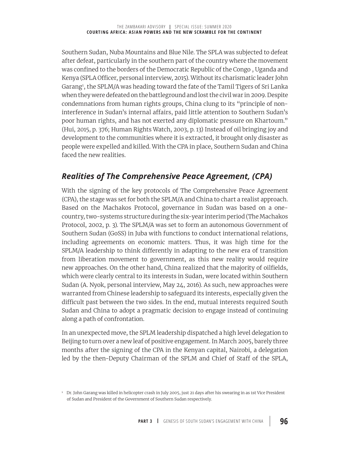Southern Sudan, Nuba Mountains and Blue Nile. The SPLA was subjected to defeat after defeat, particularly in the southern part of the country where the movement was confined to the borders of the Democratic Republic of the Congo , Uganda and Kenya (SPLA Officer, personal interview, 2015). Without its charismatic leader John Garang<sup>1</sup>, the SPLM/A was heading toward the fate of the Tamil Tigers of Sri Lanka when they were defeated on the battleground and lost the civil war in 2009. Despite condemnations from human rights groups, China clung to its "principle of noninterference in Sudan's internal affairs, paid little attention to Southern Sudan's poor human rights, and has not exerted any diplomatic pressure on Khartoum." (Hui, 2015, p. 376; Human Rights Watch, 2003, p. 13) Instead of oil bringing joy and development to the communities where it is extracted, it brought only disaster as people were expelled and killed. With the CPA in place, Southern Sudan and China faced the new realities.

### *Realities of The Comprehensive Peace Agreement, (CPA)*

With the signing of the key protocols of The Comprehensive Peace Agreement (CPA), the stage was set for both the SPLM/A and China to chart a realist approach. Based on the Machakos Protocol, governance in Sudan was based on a onecountry, two-systems structure during the six-year interim period (The Machakos Protocol, 2002, p. 3). The SPLM/A was set to form an autonomous Government of Southern Sudan (GoSS) in Juba with functions to conduct international relations, including agreements on economic matters. Thus, it was high time for the SPLM/A leadership to think differently in adapting to the new era of transition from liberation movement to government, as this new reality would require new approaches. On the other hand, China realized that the majority of oilfields, which were clearly central to its interests in Sudan, were located within Southern Sudan (A. Nyok, personal interview, May 24, 2016). As such, new approaches were warranted from Chinese leadership to safeguard its interests, especially given the difficult past between the two sides. In the end, mutual interests required South Sudan and China to adopt a pragmatic decision to engage instead of continuing along a path of confrontation.

In an unexpected move, the SPLM leadership dispatched a high level delegation to Beijing to turn over a new leaf of positive engagement. In March 2005, barely three months after the signing of the CPA in the Kenyan capital, Nairobi, a delegation led by the then-Deputy Chairman of the SPLM and Chief of Staff of the SPLA,

<sup>1</sup> Dr. John Garang was killed in helicopter crash in July 2005, just 21 days after his swearing in as 1st Vice President of Sudan and President of the Government of Southern Sudan respectively.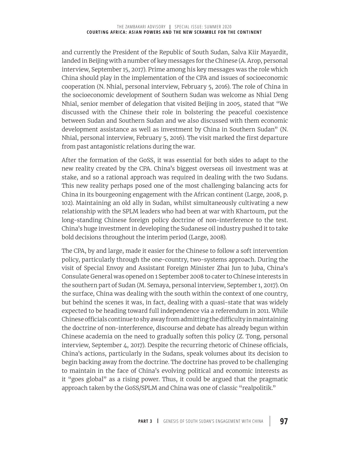and currently the President of the Republic of South Sudan, Salva Kiir Mayardit, landed in Beijing with a number of key messages for the Chinese (A. Arop, personal interview, September 15, 2017). Prime among his key messages was the role which China should play in the implementation of the CPA and issues of socioeconomic cooperation (N. Nhial, personal interview, February 5, 2016). The role of China in the socioeconomic development of Southern Sudan was welcome as Nhial Deng Nhial, senior member of delegation that visited Beijing in 2005, stated that "We discussed with the Chinese their role in bolstering the peaceful coexistence between Sudan and Southern Sudan and we also discussed with them economic development assistance as well as investment by China in Southern Sudan" (N. Nhial, personal interview, February 5, 2016). The visit marked the first departure from past antagonistic relations during the war.

After the formation of the GoSS, it was essential for both sides to adapt to the new reality created by the CPA. China's biggest overseas oil investment was at stake, and so a rational approach was required in dealing with the two Sudans. This new reality perhaps posed one of the most challenging balancing acts for China in its bourgeoning engagement with the African continent (Large, 2008, p. 102). Maintaining an old ally in Sudan, whilst simultaneously cultivating a new relationship with the SPLM leaders who had been at war with Khartoum, put the long-standing Chinese foreign policy doctrine of non-interference to the test. China's huge investment in developing the Sudanese oil industry pushed it to take bold decisions throughout the interim period (Large, 2008).

The CPA, by and large, made it easier for the Chinese to follow a soft intervention policy, particularly through the one-country, two-systems approach. During the visit of Special Envoy and Assistant Foreign Minister Zhai Jun to Juba, China's Consulate General was opened on 1 September 2008 to cater to Chinese interests in the southern part of Sudan (M. Semaya, personal interview, September 1, 2017). On the surface, China was dealing with the south within the context of one country, but behind the scenes it was, in fact, dealing with a quasi-state that was widely expected to be heading toward full independence via a referendum in 2011. While Chinese officials continue to shy away from admitting the difficulty in maintaining the doctrine of non-interference, discourse and debate has already begun within Chinese academia on the need to gradually soften this policy (Z. Tong, personal interview, September 4, 2017). Despite the recurring rhetoric of Chinese officials, China's actions, particularly in the Sudans, speak volumes about its decision to begin backing away from the doctrine. The doctrine has proved to be challenging to maintain in the face of China's evolving political and economic interests as it "goes global" as a rising power. Thus, it could be argued that the pragmatic approach taken by the GoSS/SPLM and China was one of classic "realpolitik."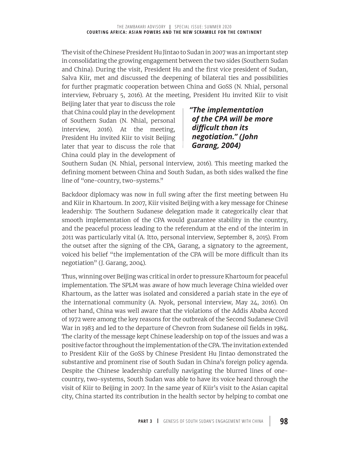The visit of the Chinese President Hu Jintao to Sudan in 2007 was an important step in consolidating the growing engagement between the two sides (Southern Sudan and China). During the visit, President Hu and the first vice president of Sudan, Salva Kiir, met and discussed the deepening of bilateral ties and possibilities for further pragmatic cooperation between China and GoSS (N. Nhial, personal interview, February 5, 2016). At the meeting, President Hu invited Kiir to visit

Beijing later that year to discuss the role that China could play in the development of Southern Sudan (N. Nhial, personal interview, 2016). At the meeting, President Hu invited Kiir to visit Beijing later that year to discuss the role that China could play in the development of

*"The implementation of the CPA will be more difficult than its negotiation." (John Garang, 2004)*

Southern Sudan (N. Nhial, personal interview, 2016). This meeting marked the defining moment between China and South Sudan, as both sides walked the fine line of "one-country, two-systems."

Backdoor diplomacy was now in full swing after the first meeting between Hu and Kiir in Khartoum. In 2007, Kiir visited Beijing with a key message for Chinese leadership: The Southern Sudanese delegation made it categorically clear that smooth implementation of the CPA would guarantee stability in the country, and the peaceful process leading to the referendum at the end of the interim in 2011 was particularly vital (A. Itto, personal interview, September 8, 2015). From the outset after the signing of the CPA, Garang, a signatory to the agreement, voiced his belief "the implementation of the CPA will be more difficult than its negotiation" (J. Garang, 2004).

Thus, winning over Beijing was critical in order to pressure Khartoum for peaceful implementation. The SPLM was aware of how much leverage China wielded over Khartoum, as the latter was isolated and considered a pariah state in the eye of the international community (A. Nyok, personal interview, May 24, 2016). On other hand, China was well aware that the violations of the Addis Ababa Accord of 1972 were among the key reasons for the outbreak of the Second Sudanese Civil War in 1983 and led to the departure of Chevron from Sudanese oil fields in 1984. The clarity of the message kept Chinese leadership on top of the issues and was a positive factor throughout the implementation of the CPA. The invitation extended to President Kiir of the GoSS by Chinese President Hu Jintao demonstrated the substantive and prominent rise of South Sudan in China's foreign policy agenda. Despite the Chinese leadership carefully navigating the blurred lines of onecountry, two-systems, South Sudan was able to have its voice heard through the visit of Kiir to Beijing in 2007. In the same year of Kiir's visit to the Asian capital city, China started its contribution in the health sector by helping to combat one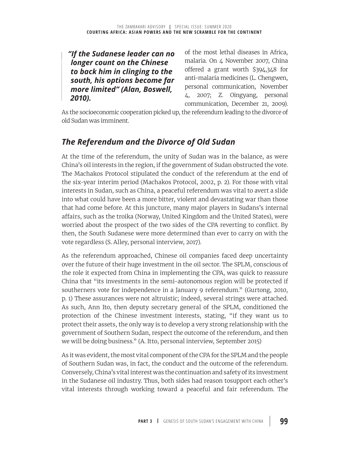#### *"If the Sudanese leader can no longer count on the Chinese to back him in clinging to the south, his options become far more limited" (Alan, Boswell, 2010).*

of the most lethal diseases in Africa, malaria. On 4 November 2007, China offered a grant worth \$394,348 for anti-malaria medicines (L. Chengwen, personal communication, November 4, 2007; Z. Oingyang, personal communication, December 21, 2009).

As the socioeconomic cooperation picked up, the referendum leading to the divorce of old Sudan was imminent.

# *The Referendum and the Divorce of Old Sudan*

At the time of the referendum, the unity of Sudan was in the balance, as were China's oil interests in the region, if the government of Sudan obstructed the vote. The Machakos Protocol stipulated the conduct of the referendum at the end of the six-year interim period (Machakos Protocol, 2002, p. 2). For those with vital interests in Sudan, such as China, a peaceful referendum was vital to avert a slide into what could have been a more bitter, violent and devastating war than those that had come before. At this juncture, many major players in Sudans's internal affairs, such as the troika (Norway, United Kingdom and the United States), were worried about the prospect of the two sides of the CPA reverting to conflict. By then, the South Sudanese were more determined than ever to carry on with the vote regardless (S. Alley, personal interview, 2017).

As the referendum approached, Chinese oil companies faced deep uncertainty over the future of their huge investment in the oil sector. The SPLM, conscious of the role it expected from China in implementing the CPA, was quick to reassure China that "its investments in the semi-autonomous region will be protected if southerners vote for independence in a January 9 referendum." (Gurtong, 2010, p. 1) These assurances were not altruistic; indeed, several strings were attached. As such, Ann Ito, then deputy secretary general of the SPLM, conditioned the protection of the Chinese investment interests, stating, "if they want us to protect their assets, the only way is to develop a very strong relationship with the government of Southern Sudan, respect the outcome of the referendum, and then we will be doing business." (A. Itto, personal interview, September 2015)

As it was evident, the most vital component of the CPA for the SPLM and the people of Southern Sudan was, in fact, the conduct and the outcome of the referendum. Conversely, China's vital interest was the continuation and safety of its investment in the Sudanese oil industry. Thus, both sides had reason tosupport each other's vital interests through working toward a peaceful and fair referendum. The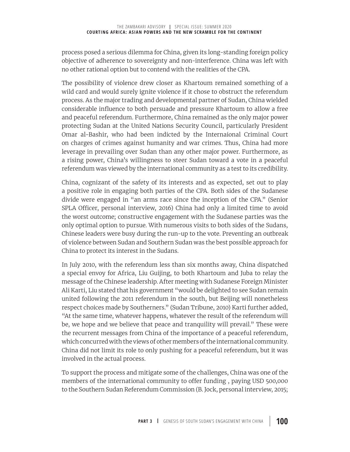process posed a serious dilemma for China, given its long-standing foreign policy objective of adherence to sovereignty and non-interference. China was left with no other rational option but to contend with the realities of the CPA.

The possibility of violence drew closer as Khartoum remained something of a wild card and would surely ignite violence if it chose to obstruct the referendum process. As the major trading and developmental partner of Sudan, China wielded considerable influence to both persuade and pressure Khartoum to allow a free and peaceful referendum. Furthermore, China remained as the only major power protecting Sudan at the United Nations Security Council, particularly President Omar al-Bashir, who had been indicted by the Internaional Criminal Court on charges of crimes against humanity and war crimes. Thus, China had more leverage in prevailing over Sudan than any other major power. Furthermore, as a rising power, China's willingness to steer Sudan toward a vote in a peaceful referendum was viewed by the international community as a test to its credibility.

China, cognizant of the safety of its interests and as expected, set out to play a positive role in engaging both parties of the CPA. Both sides of the Sudanese divide were engaged in "an arms race since the inception of the CPA." (Senior SPLA Officer, personal interview, 2016) China had only a limited time to avoid the worst outcome; constructive engagement with the Sudanese parties was the only optimal option to pursue. With numerous visits to both sides of the Sudans, Chinese leaders were busy during the run-up to the vote. Preventing an outbreak of violence between Sudan and Southern Sudan was the best possible approach for China to protect its interest in the Sudans.

In July 2010, with the referendum less than six months away, China dispatched a special envoy for Africa, Liu Guijing, to both Khartoum and Juba to relay the message of the Chinese leadership. After meeting with Sudanese Foreign Minister Ali Karti, Liu stated that his government "would be delighted to see Sudan remain united following the 2011 referendum in the south, but Beijing will nonetheless respect choices made by Southerners." (Sudan Tribune, 2010) Karti further added, "At the same time, whatever happens, whatever the result of the referendum will be, we hope and we believe that peace and tranquility will prevail." These were the recurrent messages from China of the importance of a peaceful referendum, which concurred with the views of other members of the international community. China did not limit its role to only pushing for a peaceful referendum, but it was involved in the actual process.

To support the process and mitigate some of the challenges, China was one of the members of the international community to offer funding , paying USD 500,000 to the Southern Sudan Referendum Commission (B. Jock, personal interview, 2015;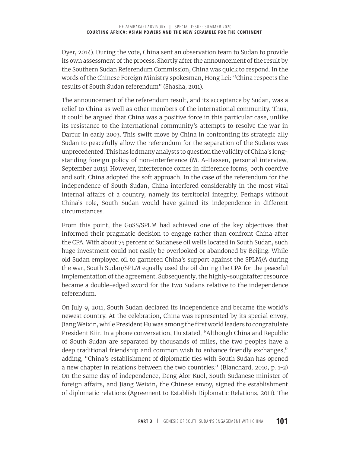Dyer, 2014). During the vote, China sent an observation team to Sudan to provide its own assessment of the process. Shortly after the announcement of the result by the Southern Sudan Referendum Commission, China was quick to respond. In the words of the Chinese Foreign Ministry spokesman, Hong Lei: "China respects the results of South Sudan referendum" (Shasha, 2011).

The announcement of the referendum result, and its acceptance by Sudan, was a relief to China as well as other members of the international community. Thus, it could be argued that China was a positive force in this particular case, unlike its resistance to the international community's attempts to resolve the war in Darfur in early 2003. This swift move by China in confronting its strategic ally Sudan to peacefully allow the referendum for the separation of the Sudans was unprecedented. This has led many analysts to question the validity of China's longstanding foreign policy of non-interference (M. A-Hassen, personal interview, September 2015). However, interference comes in difference forms, both coercive and soft. China adopted the soft approach. In the case of the referendum for the independence of South Sudan, China interfered considerably in the most vital internal affairs of a country, namely its territorial integrity. Perhaps without China's role, South Sudan would have gained its independence in different circumstances.

From this point, the GoSS/SPLM had achieved one of the key objectives that informed their pragmatic decision to engage rather than confront China after the CPA. With about 75 percent of Sudanese oil wells located in South Sudan, such huge investment could not easily be overlooked or abandoned by Beijing. While old Sudan employed oil to garnered China's support against the SPLM/A during the war, South Sudan/SPLM equally used the oil during the CPA for the peaceful implementation of the agreement. Subsequently, the highly-soughtafter resource became a double-edged sword for the two Sudans relative to the independence referendum.

On July 9, 2011, South Sudan declared its independence and became the world's newest country. At the celebration, China was represented by its special envoy, Jiang Weixin, while President Hu was among the first world leaders to congratulate President Kiir. In a phone conversation, Hu stated, "Although China and Republic of South Sudan are separated by thousands of miles, the two peoples have a deep traditional friendship and common wish to enhance friendly exchanges," adding, "China's establishment of diplomatic ties with South Sudan has opened a new chapter in relations between the two countries." (Blanchard, 2010, p. 1-2) On the same day of independence, Deng Alor Kuol, South Sudanese minister of foreign affairs, and Jiang Weixin, the Chinese envoy, signed the establishment of diplomatic relations (Agreement to Establish Diplomatic Relations, 2011). The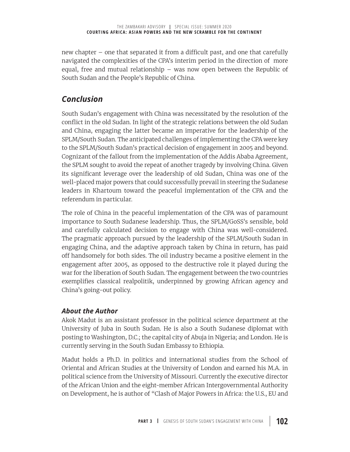new chapter – one that separated it from a difficult past, and one that carefully navigated the complexities of the CPA's interim period in the direction of more equal, free and mutual relationship – was now open between the Republic of South Sudan and the People's Republic of China.

#### *Conclusion*

South Sudan's engagement with China was necessitated by the resolution of the conflict in the old Sudan. In light of the strategic relations between the old Sudan and China, engaging the latter became an imperative for the leadership of the SPLM/South Sudan. The anticipated challenges of implementing the CPA were key to the SPLM/South Sudan's practical decision of engagement in 2005 and beyond. Cognizant of the fallout from the implementation of the Addis Ababa Agreement, the SPLM sought to avoid the repeat of another tragedy by involving China. Given its significant leverage over the leadership of old Sudan, China was one of the well-placed major powers that could successfully prevail in steering the Sudanese leaders in Khartoum toward the peaceful implementation of the CPA and the referendum in particular.

The role of China in the peaceful implementation of the CPA was of paramount importance to South Sudanese leadership. Thus, the SPLM/GoSS's sensible, bold and carefully calculated decision to engage with China was well-considered. The pragmatic approach pursued by the leadership of the SPLM/South Sudan in engaging China, and the adaptive approach taken by China in return, has paid off handsomely for both sides. The oil industry became a positive element in the engagement after 2005, as opposed to the destructive role it played during the war for the liberation of South Sudan. The engagement between the two countries exemplifies classical realpolitik, underpinned by growing African agency and China's going-out policy.

#### *About the Author*

Akok Madut is an assistant professor in the political science department at the University of Juba in South Sudan. He is also a South Sudanese diplomat with posting to Washington, D.C.; the capital city of Abuja in Nigeria; and London. He is currently serving in the South Sudan Embassy to Ethiopia.

Madut holds a Ph.D. in politics and international studies from the School of Oriental and African Studies at the University of London and earned his M.A. in political science from the University of Missouri. Currently the executive director of the African Union and the eight-member African Intergovernmental Authority on Development, he is author of "Clash of Major Powers in Africa: the U.S., EU and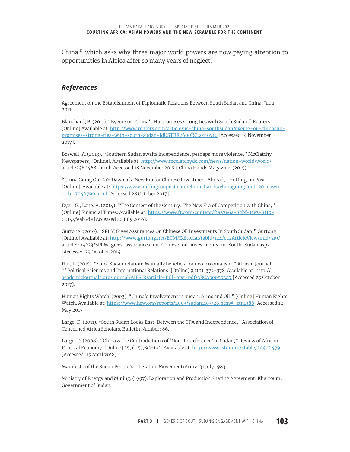China," which asks why three major world powers are now paying attention to opportunities in Africa after so many years of neglect.

#### *References*

Agreement on the Establishment of Diplomatic Relations Between South Sudan and China, Juba, 2011.

Blanchard, B. (2011). "Eyeing oil, China's Hu promises strong ties with South Sudan," Reuters, [Online] Available at: http://www.reuters.com/article/us-china-southsudan/eyeing-oil-chinashupromises-strong-ties-with-south-sudan-idUSTRE7690RC20110710 [Accessed 14 November 2017].

Boswell, A. (2013). "Southern Sudan awaits independence, perhaps more violence," McClatchy Newspapers, [Online]. Available at: http://www.mcclatchydc.com/news/nation-world/world/ article24604681.html [Accessed 18 November 2017]. China Hands Magazine. (2015).

"China Going Out 2.0: Dawn of a New Era for Chinese Investment Abroad," Huffington Post, [Online]. Available at: https://www.huffingtonpost.com/china-hands/chinagoing-out-20-dawno\_b\_7046790.html [Accessed 28 October 2017].

Dyer, G., Lane, A. (2014). "The Contest of the Century: The New Era of Competition with China," [Online] Financial Times. Available at: https://www.ft.com/content/f1a37e6a-82bf-11e3-8119- 00144feab7de [Accessed 20 July 2016].

Gurtong. (2010). "SPLM Gives Assurances On Chinese Oil Investments In South Sudan," Gurtong, [Online] Available at: http://www.gurtong.net/ECM/Editorial/tabid/124/ctl/ArticleView/mid/519/ articleId/4233/SPLM-gives-assurances-on-Chinese-oil-investments-in-South-Sudan.aspx [Accessed 29 October 2014].

Hui, L. (2015). "Sino-Sudan relation: Mutually beneficial or neo-colonialism," African Journal of Political Sciences and International Relations, [Online] 9 (10), 372-378. Available at: http:// academicjournals.org/journal/AJPSIR/article-full-text-pdf/3BCA30055247 [Accessed 25 October 2017].

Human Rights Watch. (2003). "China's Involvement in Sudan: Arms and Oil," [Online] Human Rights Watch. Available at: https://www.hrw.org/reports/2003/sudan1103/26.htm#\_ftn1388 [Accessed 12 May 2017].

Large, D. (2011). "South Sudan Looks East: Between the CPA and Independence," Association of Concerned Africa Scholars. Bulletin Number: 86.

Large, D. (2008). "China & the Contradictions of 'Non-Interference' in Sudan," Review of African Political Economy, [Online] 35, (115), 93-106. Available at: http://www.jstor.org/stable/20406479 [Accessed: 15 April 2018].

Manifesto of the Sudan People's Liberation Movement/Army, 31 July 1983.

Ministry of Energy and Mining. (1997). Exploration and Production Sharing Agreement, Khartoum: Government of Sudan.